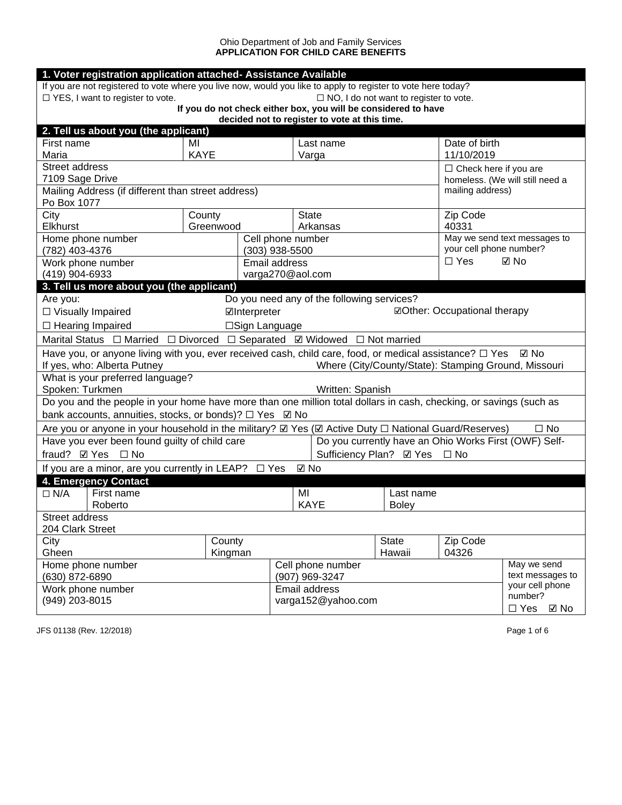## Ohio Department of Job and Family Services **APPLICATION FOR CHILD CARE BENEFITS**

| 1. Voter registration application attached- Assistance Available                                                                                                                                            |                                                                                              |                   |                                     |                                               |                           |                                                       |                                 |
|-------------------------------------------------------------------------------------------------------------------------------------------------------------------------------------------------------------|----------------------------------------------------------------------------------------------|-------------------|-------------------------------------|-----------------------------------------------|---------------------------|-------------------------------------------------------|---------------------------------|
| If you are not registered to vote where you live now, would you like to apply to register to vote here today?                                                                                               |                                                                                              |                   |                                     |                                               |                           |                                                       |                                 |
| $\Box$ YES, I want to register to vote.                                                                                                                                                                     |                                                                                              |                   |                                     | $\Box$ NO, I do not want to register to vote. |                           |                                                       |                                 |
| If you do not check either box, you will be considered to have<br>decided not to register to vote at this time.                                                                                             |                                                                                              |                   |                                     |                                               |                           |                                                       |                                 |
| 2. Tell us about you (the applicant)                                                                                                                                                                        |                                                                                              |                   |                                     |                                               |                           |                                                       |                                 |
| First name                                                                                                                                                                                                  | MI                                                                                           |                   |                                     | Last name                                     |                           | Date of birth                                         |                                 |
| Maria                                                                                                                                                                                                       | <b>KAYE</b>                                                                                  |                   |                                     | Varga                                         |                           | 11/10/2019                                            |                                 |
| <b>Street address</b>                                                                                                                                                                                       |                                                                                              |                   |                                     |                                               |                           | $\Box$ Check here if you are                          |                                 |
| 7109 Sage Drive                                                                                                                                                                                             |                                                                                              |                   |                                     |                                               |                           |                                                       | homeless. (We will still need a |
| Mailing Address (if different than street address)<br>Po Box 1077                                                                                                                                           |                                                                                              |                   |                                     |                                               |                           | mailing address)                                      |                                 |
| City                                                                                                                                                                                                        | County                                                                                       |                   | <b>State</b>                        |                                               |                           | Zip Code                                              |                                 |
| <b>Elkhurst</b>                                                                                                                                                                                             | Greenwood                                                                                    |                   |                                     | Arkansas                                      |                           | 40331                                                 |                                 |
| Home phone number                                                                                                                                                                                           |                                                                                              | Cell phone number |                                     |                                               |                           |                                                       | May we send text messages to    |
| (782) 403-4376                                                                                                                                                                                              |                                                                                              | $(303)$ 938-5500  |                                     |                                               |                           | your cell phone number?                               |                                 |
| Work phone number                                                                                                                                                                                           |                                                                                              | Email address     |                                     |                                               |                           | $\Box$ Yes                                            | ⊠ No                            |
| (419) 904-6933                                                                                                                                                                                              |                                                                                              | varga270@aol.com  |                                     |                                               |                           |                                                       |                                 |
| 3. Tell us more about you (the applicant)                                                                                                                                                                   |                                                                                              |                   |                                     |                                               |                           |                                                       |                                 |
|                                                                                                                                                                                                             | Do you need any of the following services?<br>Are you:                                       |                   |                                     |                                               |                           |                                                       |                                 |
|                                                                                                                                                                                                             | <b>ØOther: Occupational therapy</b><br>□ Visually Impaired<br>⊡Interpreter<br>□Sign Language |                   |                                     |                                               |                           |                                                       |                                 |
| $\Box$ Hearing Impaired                                                                                                                                                                                     |                                                                                              |                   |                                     |                                               |                           |                                                       |                                 |
| Marital Status $\Box$ Married $\Box$ Divorced $\Box$ Separated $\Box$ Widowed $\Box$ Not married                                                                                                            |                                                                                              |                   |                                     |                                               |                           |                                                       |                                 |
| Have you, or anyone living with you, ever received cash, child care, food, or medical assistance? $\Box$ Yes<br>⊡ No<br>If yes, who: Alberta Putney<br>Where (City/County/State): Stamping Ground, Missouri |                                                                                              |                   |                                     |                                               |                           |                                                       |                                 |
| What is your preferred language?                                                                                                                                                                            |                                                                                              |                   |                                     |                                               |                           |                                                       |                                 |
| Spoken: Turkmen                                                                                                                                                                                             |                                                                                              |                   |                                     | Written: Spanish                              |                           |                                                       |                                 |
| Do you and the people in your home have more than one million total dollars in cash, checking, or savings (such as<br>bank accounts, annuities, stocks, or bonds)? □ Yes 2 No                               |                                                                                              |                   |                                     |                                               |                           |                                                       |                                 |
| Are you or anyone in your household in the military? Z Yes (Z Active Duty □ National Guard/Reserves)                                                                                                        |                                                                                              |                   |                                     |                                               |                           |                                                       | $\square$ No                    |
| Have you ever been found guilty of child care                                                                                                                                                               |                                                                                              |                   |                                     |                                               |                           | Do you currently have an Ohio Works First (OWF) Self- |                                 |
| fraud? <b>Ø</b> Yes □ No                                                                                                                                                                                    |                                                                                              |                   | Sufficiency Plan? Ø Yes □ No        |                                               |                           |                                                       |                                 |
| If you are a minor, are you currently in LEAP? $\Box$ Yes                                                                                                                                                   |                                                                                              |                   | $\boxtimes$ No                      |                                               |                           |                                                       |                                 |
| 4. Emergency Contact                                                                                                                                                                                        |                                                                                              |                   |                                     |                                               |                           |                                                       |                                 |
| First name<br>$\Box$ N/A<br>Roberto                                                                                                                                                                         |                                                                                              |                   | MI<br><b>KAYE</b>                   |                                               | Last name<br><b>Boley</b> |                                                       |                                 |
| Street address                                                                                                                                                                                              |                                                                                              |                   |                                     |                                               |                           |                                                       |                                 |
| 204 Clark Street                                                                                                                                                                                            |                                                                                              |                   |                                     |                                               |                           |                                                       |                                 |
| Zip Code<br>City<br>County<br><b>State</b>                                                                                                                                                                  |                                                                                              |                   |                                     |                                               |                           |                                                       |                                 |
| Gheen                                                                                                                                                                                                       | Kingman                                                                                      |                   |                                     |                                               | Hawaii                    | 04326                                                 |                                 |
| Home phone number                                                                                                                                                                                           |                                                                                              |                   |                                     | Cell phone number                             |                           |                                                       | May we send<br>text messages to |
| (630) 872-6890                                                                                                                                                                                              |                                                                                              |                   | (907) 969-3247                      |                                               |                           |                                                       | your cell phone                 |
| Work phone number<br>(949) 203-8015                                                                                                                                                                         |                                                                                              |                   | Email address<br>varga152@yahoo.com |                                               |                           | number?                                               |                                 |
| $\Box$ Yes<br>⊠ No                                                                                                                                                                                          |                                                                                              |                   |                                     |                                               |                           |                                                       |                                 |

JFS 01138 (Rev. 12/2018) Page 1 of 6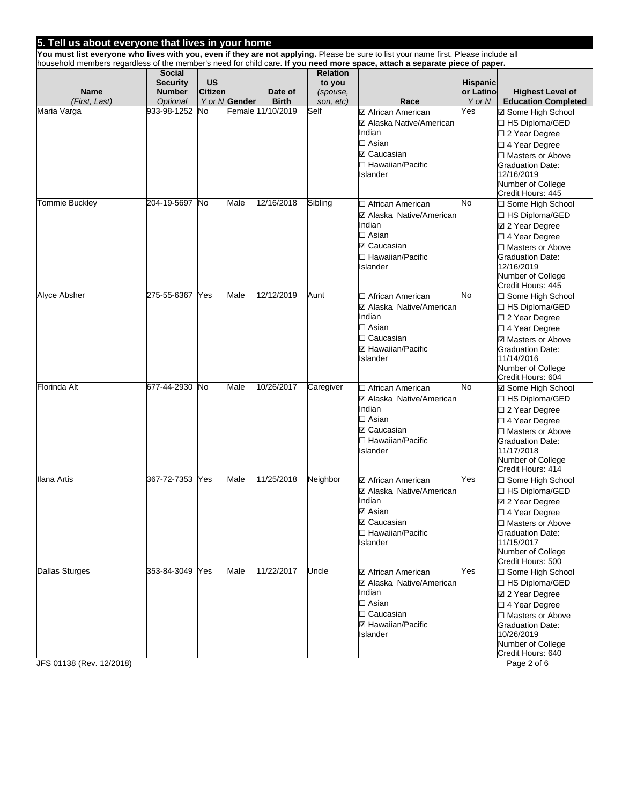| 5. Tell us about everyone that lives in your home |                 |                |               |                   |                 |                                                                                                                                                                                                                                                                     |                 |                                               |
|---------------------------------------------------|-----------------|----------------|---------------|-------------------|-----------------|---------------------------------------------------------------------------------------------------------------------------------------------------------------------------------------------------------------------------------------------------------------------|-----------------|-----------------------------------------------|
|                                                   |                 |                |               |                   |                 | You must list everyone who lives with you, even if they are not applying. Please be sure to list your name first. Please include all<br>household members regardless of the member's need for child care. If you need more space, attach a separate piece of paper. |                 |                                               |
|                                                   | <b>Social</b>   |                |               |                   | <b>Relation</b> |                                                                                                                                                                                                                                                                     |                 |                                               |
|                                                   | <b>Security</b> | <b>US</b>      |               |                   | to you          |                                                                                                                                                                                                                                                                     | <b>Hispanic</b> |                                               |
| <b>Name</b>                                       | <b>Number</b>   | <b>Citizen</b> |               | Date of           | (spouse,        |                                                                                                                                                                                                                                                                     | or Latino       | <b>Highest Level of</b>                       |
| (First, Last)                                     | <b>Optional</b> |                | Y or N Gender | <b>Birth</b>      | son, etc)       | Race                                                                                                                                                                                                                                                                | Y or N          | <b>Education Completed</b>                    |
| Maria Varga                                       | 933-98-1252     | No.            |               | Female 11/10/2019 | Self            | ☑ African American                                                                                                                                                                                                                                                  | Yes             | ☑ Some High School                            |
|                                                   |                 |                |               |                   |                 | ☑ Alaska Native/American                                                                                                                                                                                                                                            |                 | □ HS Diploma/GED                              |
|                                                   |                 |                |               |                   |                 | Indian<br>$\square$ Asian                                                                                                                                                                                                                                           |                 | □ 2 Year Degree                               |
|                                                   |                 |                |               |                   |                 | <b>☑</b> Caucasian                                                                                                                                                                                                                                                  |                 | □ 4 Year Degree<br>$\Box$ Masters or Above    |
|                                                   |                 |                |               |                   |                 | □ Hawaiian/Pacific                                                                                                                                                                                                                                                  |                 | <b>Graduation Date:</b>                       |
|                                                   |                 |                |               |                   |                 | Islander                                                                                                                                                                                                                                                            |                 | 12/16/2019                                    |
|                                                   |                 |                |               |                   |                 |                                                                                                                                                                                                                                                                     |                 | Number of College                             |
|                                                   |                 |                |               |                   |                 |                                                                                                                                                                                                                                                                     |                 | Credit Hours: 445                             |
| Tommie Buckley                                    | 204-19-5697 No  |                | Male          | 12/16/2018        | Sibling         | □ African American                                                                                                                                                                                                                                                  | No              | □ Some High School                            |
|                                                   |                 |                |               |                   |                 | ☑ Alaska Native/American                                                                                                                                                                                                                                            |                 | □ HS Diploma/GED                              |
|                                                   |                 |                |               |                   |                 | Indian                                                                                                                                                                                                                                                              |                 | ☑ 2 Year Degree                               |
|                                                   |                 |                |               |                   |                 | $\square$ Asian<br><b>☑ Caucasian</b>                                                                                                                                                                                                                               |                 | □ 4 Year Degree                               |
|                                                   |                 |                |               |                   |                 | □ Hawaiian/Pacific                                                                                                                                                                                                                                                  |                 | □ Masters or Above<br><b>Graduation Date:</b> |
|                                                   |                 |                |               |                   |                 | Islander                                                                                                                                                                                                                                                            |                 | 12/16/2019                                    |
|                                                   |                 |                |               |                   |                 |                                                                                                                                                                                                                                                                     |                 | Number of College                             |
|                                                   |                 |                |               |                   |                 |                                                                                                                                                                                                                                                                     |                 | Credit Hours: 445                             |
| <b>Alyce Absher</b>                               | 275-55-6367     | Yes            | Male          | 12/12/2019        | Aunt            | □ African American                                                                                                                                                                                                                                                  | No              | □ Some High School                            |
|                                                   |                 |                |               |                   |                 | ☑ Alaska Native/American                                                                                                                                                                                                                                            |                 | □ HS Diploma/GED                              |
|                                                   |                 |                |               |                   |                 | Indian                                                                                                                                                                                                                                                              |                 | □ 2 Year Degree                               |
|                                                   |                 |                |               |                   |                 | $\square$ Asian                                                                                                                                                                                                                                                     |                 | □ 4 Year Degree                               |
|                                                   |                 |                |               |                   |                 | $\Box$ Caucasian<br>☑ Hawaiian/Pacific                                                                                                                                                                                                                              |                 | ☑ Masters or Above                            |
|                                                   |                 |                |               |                   |                 | Islander                                                                                                                                                                                                                                                            |                 | <b>Graduation Date:</b><br>11/14/2016         |
|                                                   |                 |                |               |                   |                 |                                                                                                                                                                                                                                                                     |                 | Number of College                             |
|                                                   |                 |                |               |                   |                 |                                                                                                                                                                                                                                                                     |                 | Credit Hours: 604                             |
| <b>Florinda Alt</b>                               | 677-44-2930     | <b>No</b>      | Male          | 10/26/2017        | Caregiver       | □ African American                                                                                                                                                                                                                                                  | No              | ☑ Some High School                            |
|                                                   |                 |                |               |                   |                 | ☑ Alaska Native/American                                                                                                                                                                                                                                            |                 | □ HS Diploma/GED                              |
|                                                   |                 |                |               |                   |                 | Indian                                                                                                                                                                                                                                                              |                 | □ 2 Year Degree                               |
|                                                   |                 |                |               |                   |                 | $\square$ Asian<br><b>☑ Caucasian</b>                                                                                                                                                                                                                               |                 | $\square$ 4 Year Degree                       |
|                                                   |                 |                |               |                   |                 | □ Hawaiian/Pacific                                                                                                                                                                                                                                                  |                 | □ Masters or Above                            |
|                                                   |                 |                |               |                   |                 | Islander                                                                                                                                                                                                                                                            |                 | <b>Graduation Date:</b><br>11/17/2018         |
|                                                   |                 |                |               |                   |                 |                                                                                                                                                                                                                                                                     |                 | Number of College                             |
|                                                   |                 |                |               |                   |                 |                                                                                                                                                                                                                                                                     |                 | Credit Hours: 414                             |
| Ilana Artis                                       | 367-72-7353     | Yes            | Male          | 11/25/2018        | Neighbor        | ☑ African American                                                                                                                                                                                                                                                  | Yes             | □ Some High School                            |
|                                                   |                 |                |               |                   |                 | <b>☑ Alaska Native/American</b>                                                                                                                                                                                                                                     |                 | □ HS Diploma/GED                              |
|                                                   |                 |                |               |                   |                 | Indian                                                                                                                                                                                                                                                              |                 | ☑ 2 Year Degree                               |
|                                                   |                 |                |               |                   |                 | <b>☑</b> Asian<br><b>☑</b> Caucasian                                                                                                                                                                                                                                |                 | □ 4 Year Degree                               |
|                                                   |                 |                |               |                   |                 | □ Hawaiian/Pacific                                                                                                                                                                                                                                                  |                 | □ Masters or Above<br><b>Graduation Date:</b> |
|                                                   |                 |                |               |                   |                 | Islander                                                                                                                                                                                                                                                            |                 | 11/15/2017                                    |
|                                                   |                 |                |               |                   |                 |                                                                                                                                                                                                                                                                     |                 | Number of College                             |
|                                                   |                 |                |               |                   |                 |                                                                                                                                                                                                                                                                     |                 | Credit Hours: 500                             |
| <b>Dallas Sturges</b>                             | 353-84-3049     | Yes            | Male          | 11/22/2017        | Uncle           | ☑ African American                                                                                                                                                                                                                                                  | Yes             | □ Some High School                            |
|                                                   |                 |                |               |                   |                 | ☑ Alaska Native/American                                                                                                                                                                                                                                            |                 | □ HS Diploma/GED                              |
|                                                   |                 |                |               |                   |                 | Indian                                                                                                                                                                                                                                                              |                 | ☑ 2 Year Degree                               |
|                                                   |                 |                |               |                   |                 | $\Box$ Asian                                                                                                                                                                                                                                                        |                 | □ 4 Year Degree                               |
|                                                   |                 |                |               |                   |                 | $\Box$ Caucasian<br>☑ Hawaiian/Pacific                                                                                                                                                                                                                              |                 | □ Masters or Above                            |
|                                                   |                 |                |               |                   |                 | <b>Islander</b>                                                                                                                                                                                                                                                     |                 | <b>Graduation Date:</b><br>10/26/2019         |
|                                                   |                 |                |               |                   |                 |                                                                                                                                                                                                                                                                     |                 | Number of College                             |
|                                                   |                 |                |               |                   |                 |                                                                                                                                                                                                                                                                     |                 | Credit Hours: 640                             |
| JFS 01138 (Rev. 12/2018)                          |                 |                |               |                   |                 |                                                                                                                                                                                                                                                                     |                 | Page 2 of 6                                   |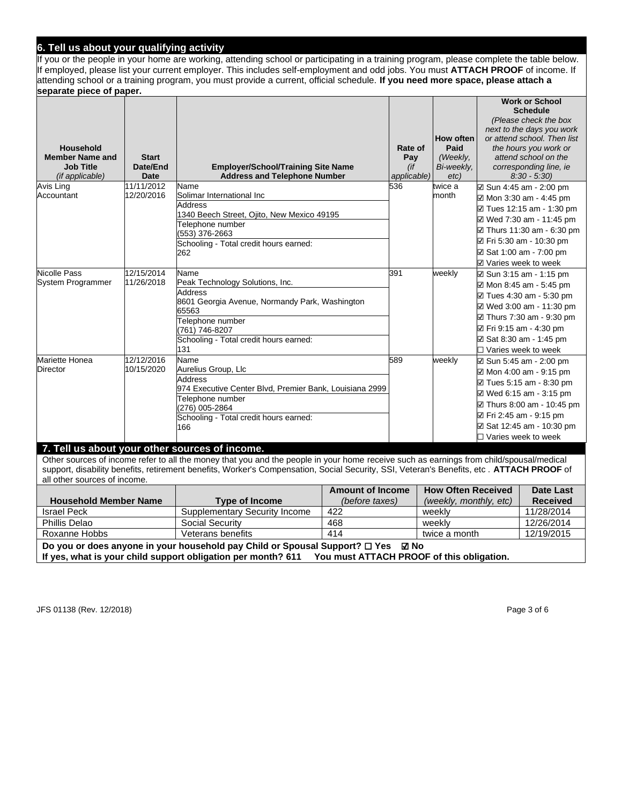## **6. Tell us about your qualifying activity**

If you or the people in your home are working, attending school or participating in a training program, please complete the table below. If employed, please list your current employer. This includes self-employment and odd jobs. You must **ATTACH PROOF** of income. If attending school or a training program, you must provide a current, official schedule. **If you need more space, please attach a separate piece of paper.**

|                              |              |                                                                                                                                          |             |                                                                     |                            | <b>Work or School</b><br><b>Schedule</b> |
|------------------------------|--------------|------------------------------------------------------------------------------------------------------------------------------------------|-------------|---------------------------------------------------------------------|----------------------------|------------------------------------------|
|                              |              |                                                                                                                                          |             |                                                                     |                            | (Please check the box                    |
|                              |              |                                                                                                                                          |             |                                                                     |                            | next to the days you work                |
|                              |              |                                                                                                                                          |             | How often                                                           |                            | or attend school. Then list              |
| <b>Household</b>             |              |                                                                                                                                          | Rate of     | Paid                                                                |                            | the hours you work or                    |
| <b>Member Name and</b>       | <b>Start</b> |                                                                                                                                          | Pay         | (Weekly,                                                            |                            | attend school on the                     |
| <b>Job Title</b>             | Date/End     | <b>Employer/School/Training Site Name</b>                                                                                                | (if         | Bi-weekly,                                                          |                            | corresponding line, ie                   |
| (if applicable)              | <b>Date</b>  | <b>Address and Telephone Number</b>                                                                                                      | applicable) | etc)                                                                |                            | $8:30 - 5:30$                            |
| Avis Ling                    | 11/11/2012   | Name                                                                                                                                     | 536         | twice a                                                             |                            | ⊠ Sun 4:45 am - 2:00 pm                  |
| Accountant                   | 12/20/2016   | Solimar International Inc                                                                                                                |             | month                                                               |                            | ⊠ Mon 3:30 am - 4:45 pm                  |
|                              |              | <b>Address</b>                                                                                                                           |             |                                                                     |                            |                                          |
|                              |              | 1340 Beech Street, Ojito, New Mexico 49195                                                                                               |             |                                                                     |                            | ☑ Tues 12:15 am - 1:30 pm                |
|                              |              | Telephone number                                                                                                                         |             |                                                                     |                            | ☑ Wed 7:30 am - 11:45 pm                 |
|                              |              | (553) 376-2663                                                                                                                           |             |                                                                     |                            | ☑ Thurs 11:30 am - 6:30 pm               |
|                              |              | Schooling - Total credit hours earned:                                                                                                   |             |                                                                     |                            | ☑ Fri 5:30 am - 10:30 pm                 |
|                              |              | 262                                                                                                                                      |             |                                                                     |                            | ⊠ Sat 1:00 am - 7:00 pm                  |
|                              |              |                                                                                                                                          |             |                                                                     | ☑ Varies week to week      |                                          |
| Nicolle Pass                 | 12/15/2014   | Name                                                                                                                                     | 391         | weekly                                                              |                            | ⊠ Sun 3:15 am - 1:15 pm                  |
| System Programmer            | 11/26/2018   | Peak Technology Solutions, Inc.                                                                                                          |             |                                                                     |                            | ☑ Mon 8:45 am - 5:45 pm                  |
|                              |              | <b>Address</b>                                                                                                                           |             |                                                                     |                            | ☑ Tues 4:30 am - 5:30 pm                 |
|                              |              | 8601 Georgia Avenue, Normandy Park, Washington                                                                                           |             |                                                                     |                            | ☑ Wed 3:00 am - 11:30 pm                 |
|                              |              | 65563<br>Telephone number                                                                                                                |             |                                                                     |                            | ☑ Thurs 7:30 am - 9:30 pm                |
|                              |              | (761) 746-8207                                                                                                                           |             |                                                                     | ☑ Fri 9:15 am - 4:30 pm    |                                          |
|                              |              | Schooling - Total credit hours earned:                                                                                                   |             |                                                                     |                            | ⊠ Sat 8:30 am - 1:45 pm                  |
|                              |              | 131                                                                                                                                      |             |                                                                     | $\Box$ Varies week to week |                                          |
| Mariette Honea               | 12/12/2016   | Name                                                                                                                                     | 589         | weekly                                                              |                            | ⊠ Sun 5:45 am - 2:00 pm                  |
| Director                     | 10/15/2020   | Aurelius Group, Llc                                                                                                                      |             |                                                                     |                            | $\boxtimes$ Mon 4:00 am - 9:15 pm        |
|                              |              | <b>Address</b>                                                                                                                           |             |                                                                     |                            | ☑ Tues 5:15 am - 8:30 pm                 |
|                              |              | 974 Executive Center Blvd, Premier Bank, Louisiana 2999                                                                                  |             |                                                                     |                            | ☑ Wed 6:15 am - 3:15 pm                  |
|                              |              | Telephone number                                                                                                                         |             |                                                                     |                            | ☑ Thurs 8:00 am - 10:45 pm               |
|                              |              | (276) 005-2864                                                                                                                           |             |                                                                     |                            |                                          |
|                              |              | Schooling - Total credit hours earned:                                                                                                   |             |                                                                     | ☑ Fri 2:45 am - 9:15 pm    |                                          |
|                              |              | 166                                                                                                                                      |             |                                                                     |                            | ⊠ Sat 12:45 am - 10:30 pm                |
|                              |              |                                                                                                                                          |             |                                                                     | □ Varies week to week      |                                          |
|                              |              | 7. Tell us about your other sources of income.                                                                                           |             |                                                                     |                            |                                          |
|                              |              | Other sources of income refer to all the money that you and the people in your home receive such as earnings from child/spousal/medical  |             |                                                                     |                            |                                          |
|                              |              | support, disability benefits, retirement benefits, Worker's Compensation, Social Security, SSI, Veteran's Benefits, etc. ATTACH PROOF of |             |                                                                     |                            |                                          |
| all other sources of income. |              |                                                                                                                                          |             |                                                                     |                            |                                          |
|                              |              | <b>Amount of Income</b>                                                                                                                  |             | <b>How Often Received</b>                                           |                            | <b>Date Last</b>                         |
|                              |              | $\left(1-t\right)$ $\left(1-t\right)$                                                                                                    |             | $\mathcal{L}$ and $\mathcal{L}$ and $\mathcal{L}$ and $\mathcal{L}$ |                            |                                          |

|                                                                                                        |                                      | AINQUIL OF INCOME | <b>HOW OREN RECEIVED</b> | Date Last       |  |  |
|--------------------------------------------------------------------------------------------------------|--------------------------------------|-------------------|--------------------------|-----------------|--|--|
| <b>Household Member Name</b>                                                                           | <b>Type of Income</b>                | (before taxes)    | (weekly, monthly, etc)   | <b>Received</b> |  |  |
| Israel Peck                                                                                            | <b>Supplementary Security Income</b> | 422               | weekly                   | 11/28/2014      |  |  |
| Phillis Delao                                                                                          | <b>Social Security</b>               | 468               | weekly                   | 12/26/2014      |  |  |
| Roxanne Hobbs                                                                                          | Veterans benefits                    | 414               | twice a month            | 12/19/2015      |  |  |
| Do you or does anyone in your household pay Child or Spousal Support? $\Box$ Yes $\Box$ No             |                                      |                   |                          |                 |  |  |
| If yes, what is your child support obligation per month? 611 You must ATTACH PROOF of this obligation. |                                      |                   |                          |                 |  |  |

JFS 01138 (Rev. 12/2018) Page 3 of 6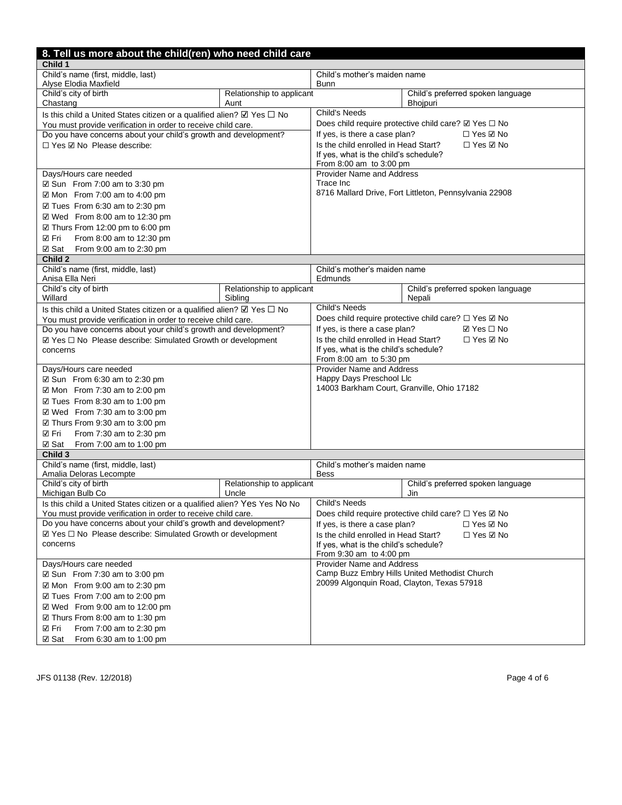| 8. Tell us more about the child(ren) who need child care                              |                                      |                                                                      |                                                                     |  |  |  |
|---------------------------------------------------------------------------------------|--------------------------------------|----------------------------------------------------------------------|---------------------------------------------------------------------|--|--|--|
| Child 1                                                                               |                                      |                                                                      |                                                                     |  |  |  |
| Child's name (first, middle, last)                                                    |                                      | Child's mother's maiden name                                         |                                                                     |  |  |  |
| Alyse Elodia Maxfield                                                                 |                                      | <b>Bunn</b>                                                          |                                                                     |  |  |  |
| Child's city of birth<br>Chastang                                                     | Relationship to applicant<br>Aunt    |                                                                      | Child's preferred spoken language<br>Bhojpuri                       |  |  |  |
| Is this child a United States citizen or a qualified alien? $\boxtimes$ Yes $\Box$ No |                                      | <b>Child's Needs</b>                                                 |                                                                     |  |  |  |
| You must provide verification in order to receive child care.                         |                                      |                                                                      | Does child require protective child care? $\boxtimes$ Yes $\Box$ No |  |  |  |
| Do you have concerns about your child's growth and development?                       |                                      | If yes, is there a case plan?<br>$\Box$ Yes $\boxtimes$ No           |                                                                     |  |  |  |
| □ Yes ☑ No Please describe:                                                           |                                      | Is the child enrolled in Head Start?                                 | $\Box$ Yes $\boxtimes$ No                                           |  |  |  |
|                                                                                       |                                      | If yes, what is the child's schedule?                                |                                                                     |  |  |  |
|                                                                                       |                                      | From 8:00 am to 3:00 pm                                              |                                                                     |  |  |  |
| Days/Hours care needed                                                                |                                      | <b>Provider Name and Address</b>                                     |                                                                     |  |  |  |
| $\boxtimes$ Sun From 7:00 am to 3:30 pm                                               |                                      | Trace Inc                                                            |                                                                     |  |  |  |
| $\boxtimes$ Mon From 7:00 am to 4:00 pm                                               |                                      | 8716 Mallard Drive, Fort Littleton, Pennsylvania 22908               |                                                                     |  |  |  |
| ☑ Tues From 6:30 am to 2:30 pm                                                        |                                      |                                                                      |                                                                     |  |  |  |
| ☑ Wed From 8:00 am to 12:30 pm                                                        |                                      |                                                                      |                                                                     |  |  |  |
| ☑ Thurs From 12:00 pm to 6:00 pm                                                      |                                      |                                                                      |                                                                     |  |  |  |
| ☑ Fri<br>From 8:00 am to 12:30 pm                                                     |                                      |                                                                      |                                                                     |  |  |  |
| <b>☑ Sat</b><br>From 9:00 am to 2:30 pm                                               |                                      |                                                                      |                                                                     |  |  |  |
| Child 2                                                                               |                                      |                                                                      |                                                                     |  |  |  |
| Child's name (first, middle, last)                                                    |                                      | Child's mother's maiden name                                         |                                                                     |  |  |  |
| Anisa Ella Neri                                                                       |                                      | Edmunds                                                              |                                                                     |  |  |  |
| Child's city of birth<br>Willard                                                      | Relationship to applicant<br>Sibling |                                                                      | Child's preferred spoken language<br>Nepali                         |  |  |  |
| Is this child a United States citizen or a qualified alien? $\boxtimes$ Yes $\Box$ No |                                      | Child's Needs                                                        |                                                                     |  |  |  |
| You must provide verification in order to receive child care.                         |                                      |                                                                      | Does child require protective child care? □ Yes ☑ No                |  |  |  |
| Do you have concerns about your child's growth and development?                       |                                      | If yes, is there a case plan?<br>$\boxtimes$ Yes $\Box$ No           |                                                                     |  |  |  |
| ☑ Yes □ No Please describe: Simulated Growth or development                           |                                      | Is the child enrolled in Head Start?                                 | $\Box$ Yes $\boxtimes$ No                                           |  |  |  |
| concerns                                                                              |                                      | If yes, what is the child's schedule?                                |                                                                     |  |  |  |
|                                                                                       |                                      | From 8:00 am to 5:30 pm                                              |                                                                     |  |  |  |
| Days/Hours care needed                                                                |                                      | <b>Provider Name and Address</b><br>Happy Days Preschool Llc         |                                                                     |  |  |  |
| $\boxtimes$ Sun From 6:30 am to 2:30 pm                                               |                                      | 14003 Barkham Court, Granville, Ohio 17182                           |                                                                     |  |  |  |
| $\boxtimes$ Mon From 7:30 am to 2:00 pm                                               |                                      |                                                                      |                                                                     |  |  |  |
| ☑ Tues From 8:30 am to 1:00 pm                                                        |                                      |                                                                      |                                                                     |  |  |  |
| $\boxtimes$ Wed From 7:30 am to 3:00 pm                                               |                                      |                                                                      |                                                                     |  |  |  |
| ☑ Thurs From 9:30 am to 3:00 pm                                                       |                                      |                                                                      |                                                                     |  |  |  |
| ☑ Fri<br>From 7:30 am to 2:30 pm                                                      |                                      |                                                                      |                                                                     |  |  |  |
| ☑ Sat<br>From 7:00 am to 1:00 pm                                                      |                                      |                                                                      |                                                                     |  |  |  |
| Child 3<br>Child's name (first, middle, last)                                         |                                      | Child's mother's maiden name                                         |                                                                     |  |  |  |
| Amalia Deloras Lecompte                                                               |                                      | <b>Bess</b>                                                          |                                                                     |  |  |  |
| Child's city of birth                                                                 | Relationship to applicant            |                                                                      | Child's preferred spoken language                                   |  |  |  |
| Michigan Bulb Co                                                                      | Uncle                                |                                                                      | Jin                                                                 |  |  |  |
| Is this child a United States citizen or a qualified alien? Yes Yes No No             |                                      | <b>Child's Needs</b>                                                 |                                                                     |  |  |  |
| You must provide verification in order to receive child care.                         |                                      | Does child require protective child care? $\square$ Yes $\square$ No |                                                                     |  |  |  |
| Do you have concerns about your child's growth and development?                       |                                      | If yes, is there a case plan?<br>□ Yes ☑ No                          |                                                                     |  |  |  |
| $\boxtimes$ Yes $\Box$ No Please describe: Simulated Growth or development            |                                      | Is the child enrolled in Head Start?<br>□ Yes ☑ No                   |                                                                     |  |  |  |
| concerns                                                                              |                                      | If yes, what is the child's schedule?<br>From 9:30 am to 4:00 pm     |                                                                     |  |  |  |
| Days/Hours care needed                                                                |                                      | <b>Provider Name and Address</b>                                     |                                                                     |  |  |  |
| ☑ Sun From 7:30 am to 3:00 pm                                                         |                                      | Camp Buzz Embry Hills United Methodist Church                        |                                                                     |  |  |  |
| $\boxtimes$ Mon From 9:00 am to 2:30 pm                                               |                                      | 20099 Algonquin Road, Clayton, Texas 57918                           |                                                                     |  |  |  |
| $\boxtimes$ Tues From 7:00 am to 2:00 pm                                              |                                      |                                                                      |                                                                     |  |  |  |
| ☑ Wed From 9:00 am to 12:00 pm                                                        |                                      |                                                                      |                                                                     |  |  |  |
| ☑ Thurs From 8:00 am to 1:30 pm                                                       |                                      |                                                                      |                                                                     |  |  |  |
| ☑ Fri<br>From 7:00 am to 2:30 pm                                                      |                                      |                                                                      |                                                                     |  |  |  |
| <b>☑ Sat</b><br>From 6:30 am to 1:00 pm                                               |                                      |                                                                      |                                                                     |  |  |  |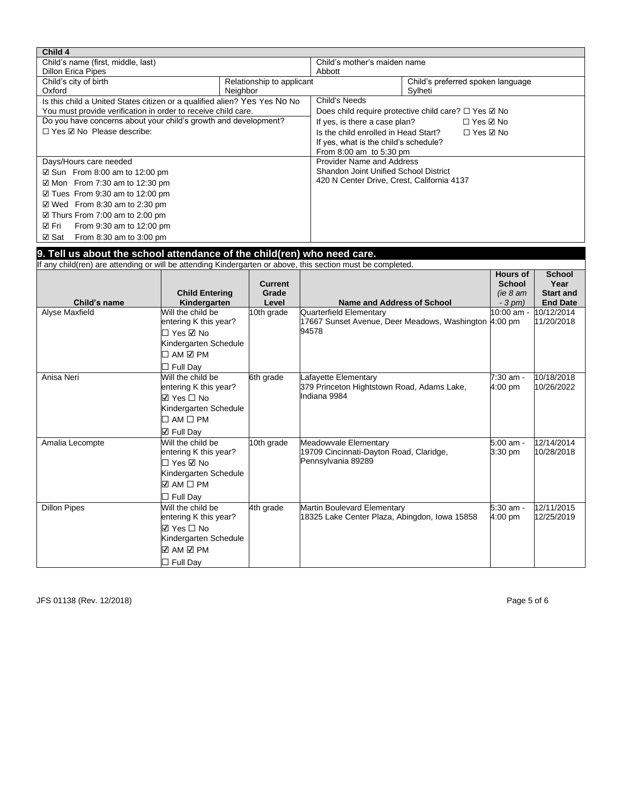| Child 4                                                                                                     |                           |                |                                                                |                      |                  |  |  |  |
|-------------------------------------------------------------------------------------------------------------|---------------------------|----------------|----------------------------------------------------------------|----------------------|------------------|--|--|--|
| Child's name (first, middle, last)                                                                          |                           |                | Child's mother's maiden name                                   |                      |                  |  |  |  |
| <b>Dillon Erica Pipes</b>                                                                                   |                           |                | Abbott                                                         |                      |                  |  |  |  |
| Child's city of birth<br>Relationship to applicant                                                          |                           |                | Child's preferred spoken language                              |                      |                  |  |  |  |
| Neighbor<br>Oxford                                                                                          |                           |                | Sylheti                                                        |                      |                  |  |  |  |
| Is this child a United States citizen or a qualified alien? Yes Yes No No                                   |                           |                |                                                                | <b>Child's Needs</b> |                  |  |  |  |
| You must provide verification in order to receive child care.                                               |                           |                | Does child require protective child care? $\Box$ Yes $\Box$ No |                      |                  |  |  |  |
| Do you have concerns about your child's growth and development?                                             |                           |                | If yes, is there a case plan?<br>□ Yes ☑ No                    |                      |                  |  |  |  |
| □ Yes ☑ No Please describe:                                                                                 |                           |                | Is the child enrolled in Head Start?<br>□ Yes ☑ No             |                      |                  |  |  |  |
|                                                                                                             |                           |                | If yes, what is the child's schedule?                          |                      |                  |  |  |  |
|                                                                                                             |                           |                | From 8:00 am to 5:30 pm                                        |                      |                  |  |  |  |
| Days/Hours care needed                                                                                      |                           |                | <b>Provider Name and Address</b>                               |                      |                  |  |  |  |
| ☑ Sun From 8:00 am to 12:00 pm                                                                              |                           |                | <b>Shandon Joint Unified School District</b>                   |                      |                  |  |  |  |
| $\boxtimes$ Mon From 7:30 am to 12:30 pm                                                                    |                           |                | 420 N Center Drive, Crest, California 4137                     |                      |                  |  |  |  |
| $\boxtimes$ Tues From 9:30 am to 12:00 pm                                                                   |                           |                |                                                                |                      |                  |  |  |  |
| $\boxtimes$ Wed From 8:30 am to 2:30 pm                                                                     |                           |                |                                                                |                      |                  |  |  |  |
| $\boxtimes$ Thurs From 7:00 am to 2:00 pm                                                                   |                           |                |                                                                |                      |                  |  |  |  |
|                                                                                                             |                           |                |                                                                |                      |                  |  |  |  |
| ☑ Fri<br>From 9:30 am to 12:00 pm                                                                           |                           |                |                                                                |                      |                  |  |  |  |
| From 8:30 am to 3:00 pm<br><b>☑ Sat</b>                                                                     |                           |                |                                                                |                      |                  |  |  |  |
| 9. Tell us about the school attendance of the child(ren) who need care.                                     |                           |                |                                                                |                      |                  |  |  |  |
| If any child(ren) are attending or will be attending Kindergarten or above, this section must be completed. |                           |                |                                                                |                      |                  |  |  |  |
|                                                                                                             |                           |                |                                                                | <b>Hours of</b>      | <b>School</b>    |  |  |  |
|                                                                                                             |                           | <b>Current</b> |                                                                | <b>School</b>        | Year             |  |  |  |
|                                                                                                             | <b>Child Entering</b>     | Grade          |                                                                | (ie 8 am)            | <b>Start and</b> |  |  |  |
| Child's name                                                                                                | Kindergarten              | Level          | <b>Name and Address of School</b>                              | $-3$ pm)             | <b>End Date</b>  |  |  |  |
| Alyse Maxfield                                                                                              | Will the child be         | 10th grade     | Quarterfield Elementary                                        | 0:00 am -            | 10/12/2014       |  |  |  |
|                                                                                                             | entering K this year?     |                | 17667 Sunset Avenue, Deer Meadows, Washington 4:00 pm          |                      | 11/20/2018       |  |  |  |
|                                                                                                             | $\Box$ Yes $\boxtimes$ No |                | 94578                                                          |                      |                  |  |  |  |
|                                                                                                             | Kindergarten Schedule     |                |                                                                |                      |                  |  |  |  |
|                                                                                                             | □ AM ☑ PM                 |                |                                                                |                      |                  |  |  |  |
|                                                                                                             |                           |                |                                                                |                      |                  |  |  |  |
|                                                                                                             | $\Box$ Full Day           |                |                                                                |                      |                  |  |  |  |
| Anisa Neri                                                                                                  | Will the child be         | 6th grade      | Lafayette Elementary                                           | 7:30 am -            | 10/18/2018       |  |  |  |
|                                                                                                             | entering K this year?     |                | 379 Princeton Hightstown Road, Adams Lake,                     | 4:00 pm              | 10/26/2022       |  |  |  |
|                                                                                                             | $\boxdot$ Yes $\Box$ No   |                | Indiana 9984                                                   |                      |                  |  |  |  |
|                                                                                                             | Kindergarten Schedule     |                |                                                                |                      |                  |  |  |  |
|                                                                                                             | $\Box$ AM $\Box$ PM       |                |                                                                |                      |                  |  |  |  |
|                                                                                                             | $\boxdot$ Full Day        |                |                                                                |                      |                  |  |  |  |
| Amalia Lecompte                                                                                             | Will the child be         | 10th grade     | Meadowvale Elementary                                          | 5:00 am -            | 12/14/2014       |  |  |  |
|                                                                                                             | entering K this year?     |                | 19709 Cincinnati-Dayton Road, Claridge,                        | 3:30 pm              | 10/28/2018       |  |  |  |
|                                                                                                             | □ Yes ☑ No                |                | Pennsylvania 89289                                             |                      |                  |  |  |  |
|                                                                                                             | Kindergarten Schedule     |                |                                                                |                      |                  |  |  |  |
|                                                                                                             | $\Box$ AM $\Box$ PM       |                |                                                                |                      |                  |  |  |  |
|                                                                                                             |                           |                |                                                                |                      |                  |  |  |  |
|                                                                                                             | $\Box$ Full Day           |                |                                                                |                      |                  |  |  |  |
| <b>Dillon Pipes</b>                                                                                         | Will the child be         | 4th grade      | Martin Boulevard Elementary                                    | 5:30 am -            | 12/11/2015       |  |  |  |
|                                                                                                             | entering K this year?     |                | 18325 Lake Center Plaza, Abingdon, Iowa 15858                  | 4:00 pm              | 12/25/2019       |  |  |  |
|                                                                                                             | $\boxdot$ Yes $\Box$ No   |                |                                                                |                      |                  |  |  |  |
|                                                                                                             | Kindergarten Schedule     |                |                                                                |                      |                  |  |  |  |
|                                                                                                             | ☑ AM ☑ PM                 |                |                                                                |                      |                  |  |  |  |
|                                                                                                             | $\Box$ Full Day           |                |                                                                |                      |                  |  |  |  |

JFS 01138 (Rev. 12/2018) Page 5 of 6